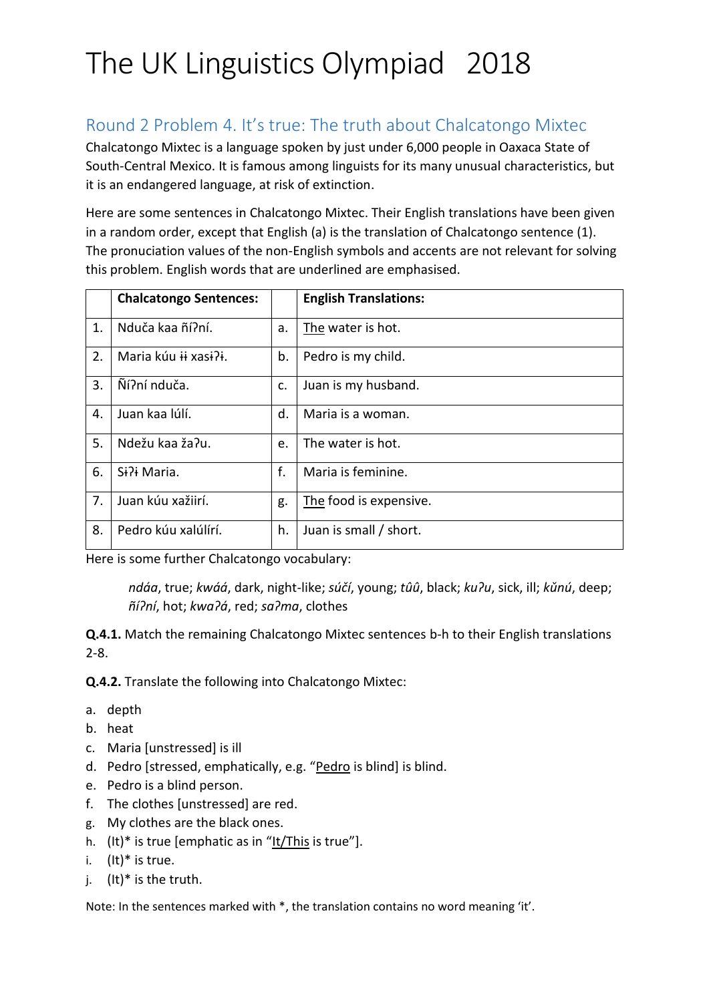## Round 2 Problem 4. It's true: The truth about Chalcatongo Mixtec

Chalcatongo Mixtec is a language spoken by just under 6,000 people in Oaxaca State of South-Central Mexico. It is famous among linguists for its many unusual characteristics, but it is an endangered language, at risk of extinction.

Here are some sentences in Chalcatongo Mixtec. Their English translations have been given in a random order, except that English (a) is the translation of Chalcatongo sentence (1). The pronuciation values of the non-English symbols and accents are not relevant for solving this problem. English words that are underlined are emphasised.

|    | <b>Chalcatongo Sentences:</b> |    | <b>English Translations:</b> |
|----|-------------------------------|----|------------------------------|
| 1. | Nduča kaa ñí?ní.              | a. | The water is hot.            |
| 2. | Maria kúu ii xasi?i.          | b. | Pedro is my child.           |
| 3. | Ñí?ní nduča.                  | c. | Juan is my husband.          |
| 4. | Juan kaa lúlí.                | d. | Maria is a woman.            |
| 5. | Ndežu kaa ža?u.               | e. | The water is hot.            |
| 6. | Si?i Maria.                   | f. | Maria is feminine.           |
| 7. | Juan kúu xažiirí.             | g. | The food is expensive.       |
| 8. | Pedro kúu xalúlírí.           | h. | Juan is small / short.       |

Here is some further Chalcatongo vocabulary:

*ndáa*, true; *kwáá*, dark, night-like; *súčí*, young; *tûû*, black; *kuɁu*, sick, ill; *kǔnú*, deep; *ñíɁní*, hot; *kwaɁá*, red; *saɁma*, clothes

**Q.4.1.** Match the remaining Chalcatongo Mixtec sentences b-h to their English translations 2-8.

**Q.4.2.** Translate the following into Chalcatongo Mixtec:

- a. depth
- b. heat
- c. Maria [unstressed] is ill
- d. Pedro [stressed, emphatically, e.g. "Pedro is blind] is blind.
- e. Pedro is a blind person.
- f. The clothes [unstressed] are red.
- g. My clothes are the black ones.
- h.  $(lt)^*$  is true [emphatic as in " $lt/T$ his is true"].
- i.  $(lt)^*$  is true.
- j.  $(lt)^*$  is the truth.

Note: In the sentences marked with \*, the translation contains no word meaning 'it'.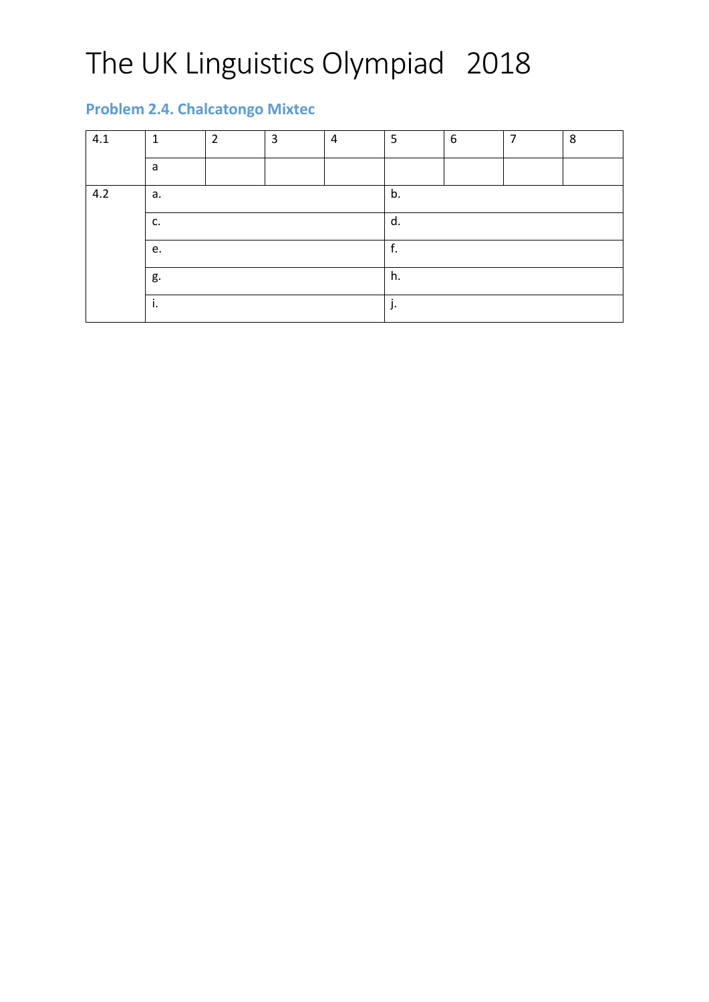## **Problem 2.4. Chalcatongo Mixtec**

| 4.1 | $\mathbf{1}$ | $\overline{2}$ | 3 | 4 | 5  | 6 | $\overline{ }$ | 8 |
|-----|--------------|----------------|---|---|----|---|----------------|---|
|     | a            |                |   |   |    |   |                |   |
| 4.2 | а.           |                |   |   | b. |   |                |   |
|     | c.           |                |   |   | d. |   |                |   |
|     | e.           |                |   |   | f. |   |                |   |
|     | g.           |                |   |   | h. |   |                |   |
|     | ÷<br>ъ.      |                |   |   | ٠. |   |                |   |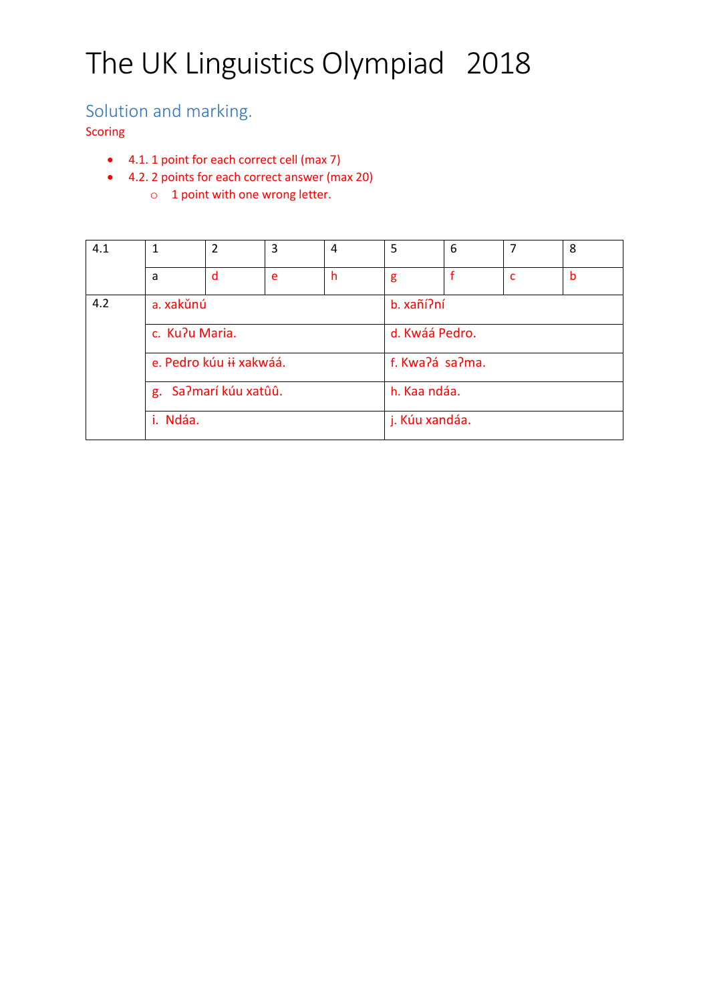## Solution and marking.

Scoring

- 4.1. 1 point for each correct cell (max 7)
- 4.2. 2 points for each correct answer (max 20) o 1 point with one wrong letter.

| 4.1 |                         | 2 | 3 | 4 | 5               | 6 |   | 8 |
|-----|-------------------------|---|---|---|-----------------|---|---|---|
|     | a                       | d | e | h | g               |   | c | b |
| 4.2 | a. xakŭnú               |   |   |   | b. xañí?ní      |   |   |   |
|     | c. Ku?u Maria.          |   |   |   | d. Kwáá Pedro.  |   |   |   |
|     | e. Pedro kúu ii xakwáá. |   |   |   | f. Kwa?á sa?ma. |   |   |   |
|     | g. Sa?marí kúu xatûû.   |   |   |   | h. Kaa ndáa.    |   |   |   |
|     | i. Ndáa.                |   |   |   | j. Kúu xandáa.  |   |   |   |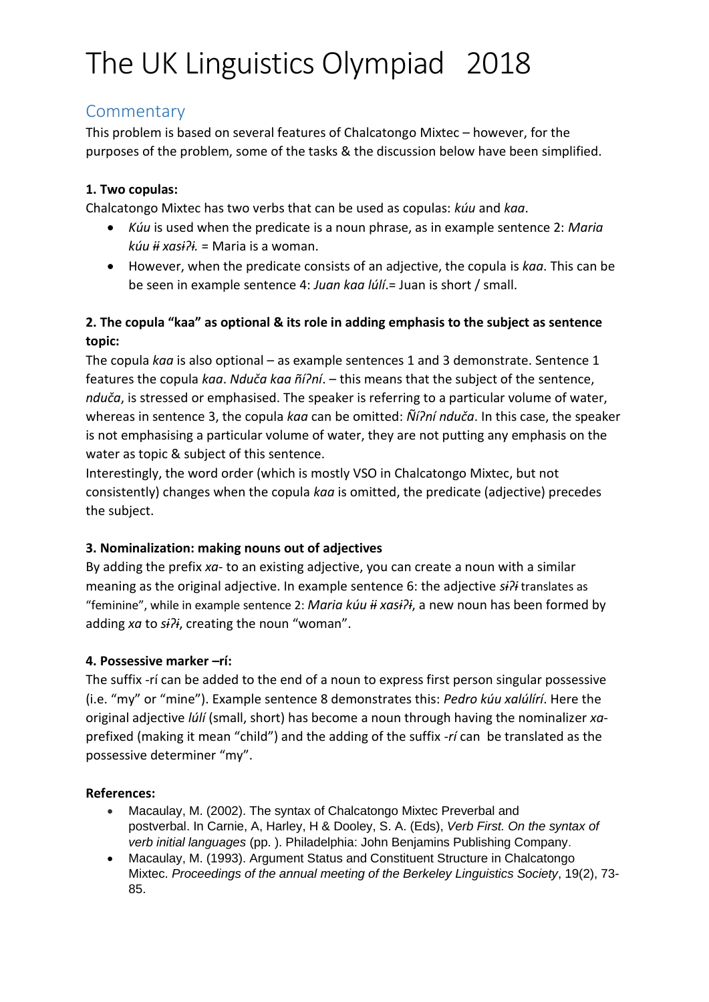### **Commentary**

This problem is based on several features of Chalcatongo Mixtec – however, for the purposes of the problem, some of the tasks & the discussion below have been simplified.

### **1. Two copulas:**

Chalcatongo Mixtec has two verbs that can be used as copulas: *kúu* and *kaa*.

- *Kúu* is used when the predicate is a noun phrase, as in example sentence 2: *Maria kúu ɨɨ xasɨɁɨ.* = Maria is a woman.
- However, when the predicate consists of an adjective, the copula is *kaa*. This can be be seen in example sentence 4: *Juan kaa lúlí*.= Juan is short / small.

### **2. The copula "kaa" as optional & its role in adding emphasis to the subject as sentence topic:**

The copula *kaa* is also optional – as example sentences 1 and 3 demonstrate. Sentence 1 features the copula *kaa. Nduča kaa ñí?ní*. – this means that the subject of the sentence, *nduča*, is stressed or emphasised. The speaker is referring to a particular volume of water, whereas in sentence 3, the copula *kaa* can be omitted:  $\tilde{N}$ *i* $\tilde{I}$ *ní nduča*. In this case, the speaker is not emphasising a particular volume of water, they are not putting any emphasis on the water as topic & subject of this sentence.

Interestingly, the word order (which is mostly VSO in Chalcatongo Mixtec, but not consistently) changes when the copula *kaa* is omitted, the predicate (adjective) precedes the subject.

### **3. Nominalization: making nouns out of adjectives**

By adding the prefix *xa*- to an existing adjective, you can create a noun with a similar meaning as the original adjective. In example sentence 6: the adjective  $s\hat{i}$ <sup>2</sup> translates as "feminine", while in example sentence 2: *Maria kúu ii xasi?i*, a new noun has been formed by adding xa to sili, creating the noun "woman".

### **4. Possessive marker –rí:**

The suffix -rí can be added to the end of a noun to express first person singular possessive (i.e. "my" or "mine"). Example sentence 8 demonstrates this: *Pedro kúu xalúlírí*. Here the original adjective *lúlí* (small, short) has become a noun through having the nominalizer *xa*prefixed (making it mean "child") and the adding of the suffix -*rí* can be translated as the possessive determiner "my".

### **References:**

- Macaulay, M. (2002). The syntax of Chalcatongo Mixtec Preverbal and postverbal. In Carnie, A, Harley, H & Dooley, S. A. (Eds), *Verb First. On the syntax of verb initial languages* (pp. ). Philadelphia: John Benjamins Publishing Company.
- Macaulay, M. (1993). Argument Status and Constituent Structure in Chalcatongo Mixtec. *Proceedings of the annual meeting of the Berkeley Linguistics Society*, 19(2), 73- 85.